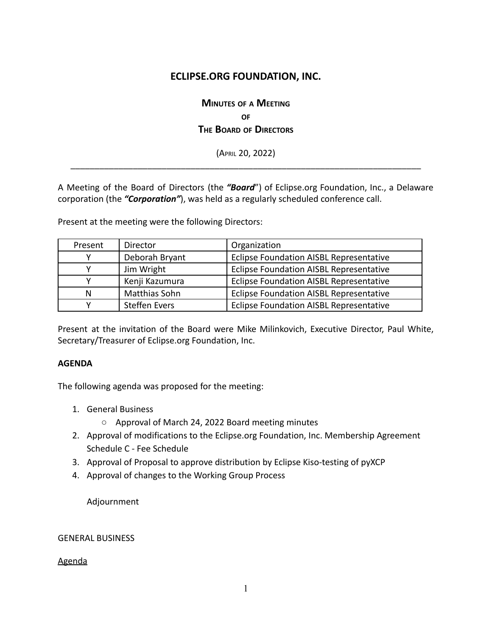## **ECLIPSE.ORG FOUNDATION, INC.**

# **MINUTES OF <sup>A</sup> MEETING OF THE BOARD OF DIRECTORS**

(APRIL 20, 2022) \_\_\_\_\_\_\_\_\_\_\_\_\_\_\_\_\_\_\_\_\_\_\_\_\_\_\_\_\_\_\_\_\_\_\_\_\_\_\_\_\_\_\_\_\_\_\_\_\_\_\_\_\_\_\_\_\_\_\_\_\_\_\_\_\_\_\_\_\_\_\_\_\_

A Meeting of the Board of Directors (the *"Board*") of Eclipse.org Foundation, Inc., a Delaware corporation (the *"Corporation"*), was held as a regularly scheduled conference call.

Present at the meeting were the following Directors:

| Present | Director             | Organization                                   |
|---------|----------------------|------------------------------------------------|
|         | Deborah Bryant       | Eclipse Foundation AISBL Representative        |
|         | Jim Wright           | Eclipse Foundation AISBL Representative        |
|         | Kenji Kazumura       | <b>Eclipse Foundation AISBL Representative</b> |
| N       | Matthias Sohn        | <b>Eclipse Foundation AISBL Representative</b> |
|         | <b>Steffen Evers</b> | <b>Eclipse Foundation AISBL Representative</b> |

Present at the invitation of the Board were Mike Milinkovich, Executive Director, Paul White, Secretary/Treasurer of Eclipse.org Foundation, Inc.

#### **AGENDA**

The following agenda was proposed for the meeting:

- 1. General Business
	- Approval of March 24, 2022 Board meeting minutes
- 2. Approval of modifications to the Eclipse.org Foundation, Inc. Membership Agreement Schedule C - Fee Schedule
- 3. Approval of Proposal to approve distribution by Eclipse Kiso-testing of pyXCP
- 4. Approval of changes to the Working Group Process

Adjournment

### GENERAL BUSINESS

Agenda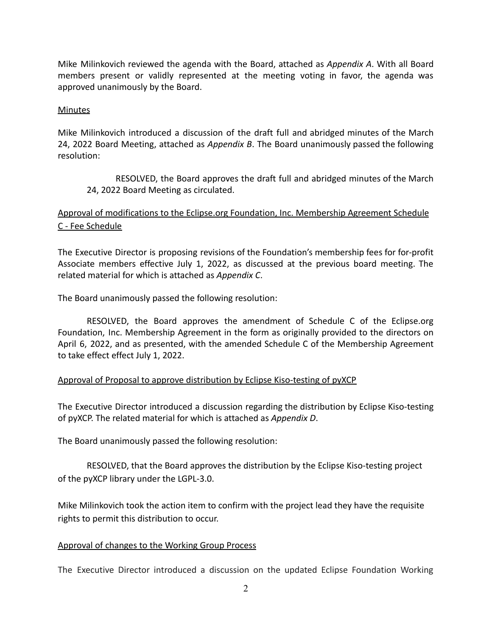Mike Milinkovich reviewed the agenda with the Board, attached as *Appendix A*. With all Board members present or validly represented at the meeting voting in favor, the agenda was approved unanimously by the Board.

### Minutes

Mike Milinkovich introduced a discussion of the draft full and abridged minutes of the March 24, 2022 Board Meeting, attached as *Appendix B*. The Board unanimously passed the following resolution:

RESOLVED, the Board approves the draft full and abridged minutes of the March 24, 2022 Board Meeting as circulated.

## Approval of modifications to the Eclipse.org Foundation, Inc. Membership Agreement Schedule C - Fee Schedule

The Executive Director is proposing revisions of the Foundation's membership fees for for-profit Associate members effective July 1, 2022, as discussed at the previous board meeting. The related material for which is attached as *Appendix C*.

The Board unanimously passed the following resolution:

RESOLVED, the Board approves the amendment of Schedule C of the Eclipse.org Foundation, Inc. Membership Agreement in the form as originally provided to the directors on April 6, 2022, and as presented, with the amended Schedule C of the Membership Agreement to take effect effect July 1, 2022.

### Approval of Proposal to approve distribution by Eclipse Kiso-testing of pyXCP

The Executive Director introduced a discussion regarding the distribution by Eclipse Kiso-testing of pyXCP. The related material for which is attached as *Appendix D*.

The Board unanimously passed the following resolution:

RESOLVED, that the Board approves the distribution by the Eclipse Kiso-testing project of the pyXCP library under the LGPL-3.0.

Mike Milinkovich took the action item to confirm with the project lead they have the requisite rights to permit this distribution to occur.

### Approval of changes to the Working Group Process

The Executive Director introduced a discussion on the updated Eclipse Foundation Working